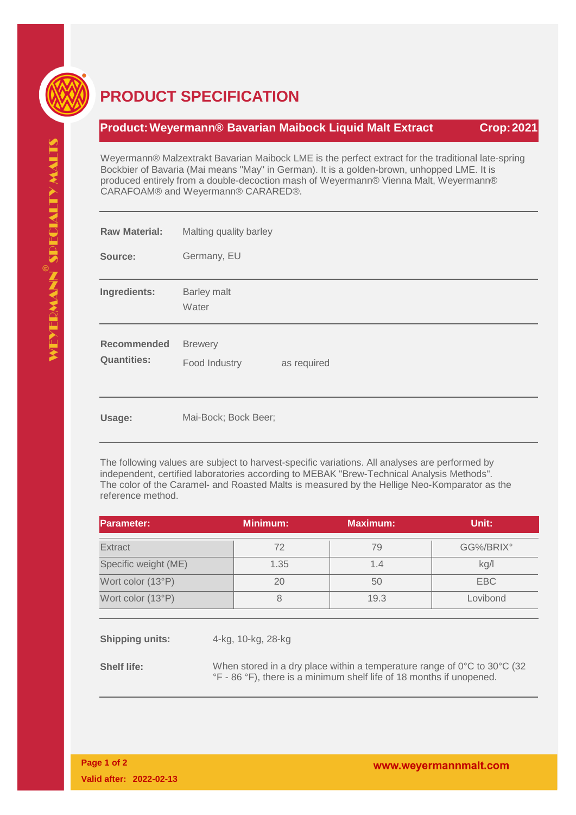

## **PRODUCT SPECIFICATION**

## **Product:Weyermann® Bavarian Maibock Liquid Malt Extract Crop:2021**

Weyermann® Malzextrakt Bavarian Maibock LME is the perfect extract for the traditional late-spring Bockbier of Bavaria (Mai means "May" in German). It is a golden-brown, unhopped LME. It is produced entirely from a double-decoction mash of Weyermann® Vienna Malt, Weyermann® CARAFOAM® and Weyermann® CARARED®.

| <b>Raw Material:</b>                     | Malting quality barley                         |  |  |  |
|------------------------------------------|------------------------------------------------|--|--|--|
| Source:                                  | Germany, EU                                    |  |  |  |
| Ingredients:                             | Barley malt<br>Water                           |  |  |  |
| <b>Recommended</b><br><b>Quantities:</b> | <b>Brewery</b><br>Food Industry<br>as required |  |  |  |
| Usage:                                   | Mai-Bock; Bock Beer;                           |  |  |  |

The following values are subject to harvest-specific variations. All analyses are performed by independent, certified laboratories according to MEBAK "Brew-Technical Analysis Methods". The color of the Caramel- and Roasted Malts is measured by the Hellige Neo-Komparator as the reference method.

| <b>Parameter:</b>      |                                                                                                                                                                      | <b>Minimum:</b>    | <b>Maximum:</b> | Unit:      |  |
|------------------------|----------------------------------------------------------------------------------------------------------------------------------------------------------------------|--------------------|-----------------|------------|--|
| Extract                |                                                                                                                                                                      | 72                 | 79              | GG%/BRIX°  |  |
| Specific weight (ME)   |                                                                                                                                                                      | 1.35               | 1.4             | kg/l       |  |
| Wort color (13°P)      |                                                                                                                                                                      | 20                 | 50              | <b>EBC</b> |  |
| Wort color (13°P)      |                                                                                                                                                                      | 8                  | 19.3            | Lovibond   |  |
|                        |                                                                                                                                                                      |                    |                 |            |  |
| <b>Shipping units:</b> |                                                                                                                                                                      | 4-kg, 10-kg, 28-kg |                 |            |  |
| <b>Shelf life:</b>     | When stored in a dry place within a temperature range of $0^{\circ}$ C to $30^{\circ}$ C (32<br>°F - 86 °F), there is a minimum shelf life of 18 months if unopened. |                    |                 |            |  |